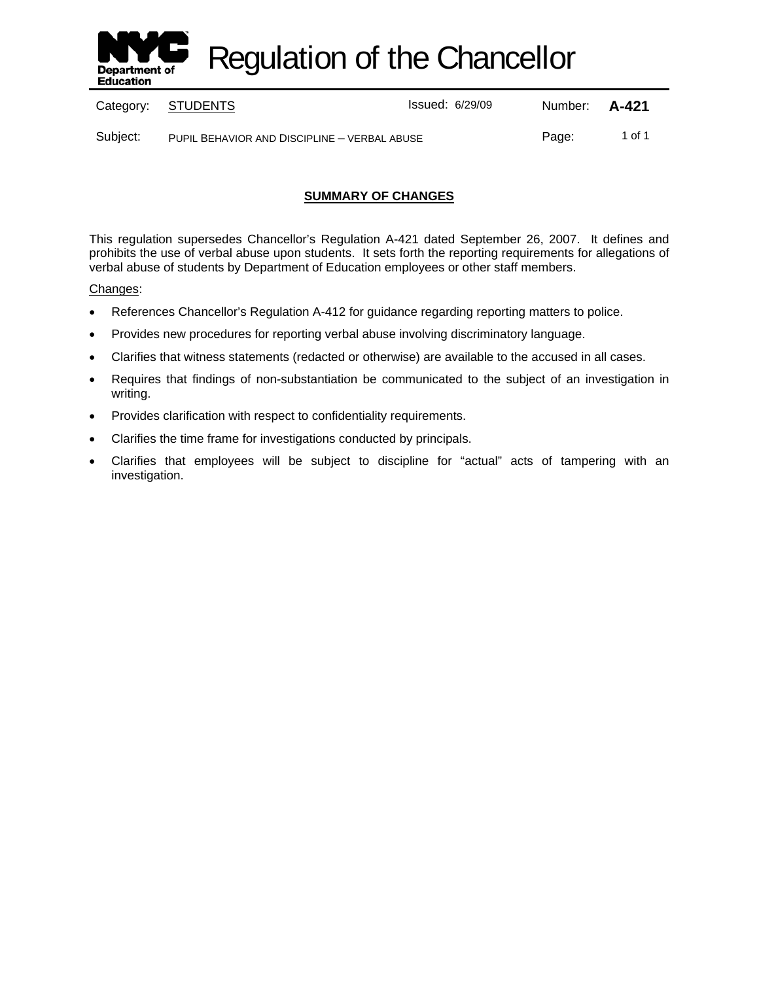

Regulation of the Chancellor

|          | Category: STUDENTS                           | <b>Issued: 6/29/09</b> | Number: <b>A-421</b> |        |
|----------|----------------------------------------------|------------------------|----------------------|--------|
| Subject: | PUPIL BEHAVIOR AND DISCIPLINE - VERBAL ABUSE |                        | Page:                | 1 of 1 |

# **SUMMARY OF CHANGES**

This regulation supersedes Chancellor's Regulation A-421 dated September 26, 2007. It defines and prohibits the use of verbal abuse upon students. It sets forth the reporting requirements for allegations of verbal abuse of students by Department of Education employees or other staff members.

Changes:

- References Chancellor's Regulation A-412 for guidance regarding reporting matters to police.
- Provides new procedures for reporting verbal abuse involving discriminatory language.
- Clarifies that witness statements (redacted or otherwise) are available to the accused in all cases.
- Requires that findings of non-substantiation be communicated to the subject of an investigation in writing.
- Provides clarification with respect to confidentiality requirements.
- Clarifies the time frame for investigations conducted by principals.
- Clarifies that employees will be subject to discipline for "actual" acts of tampering with an investigation.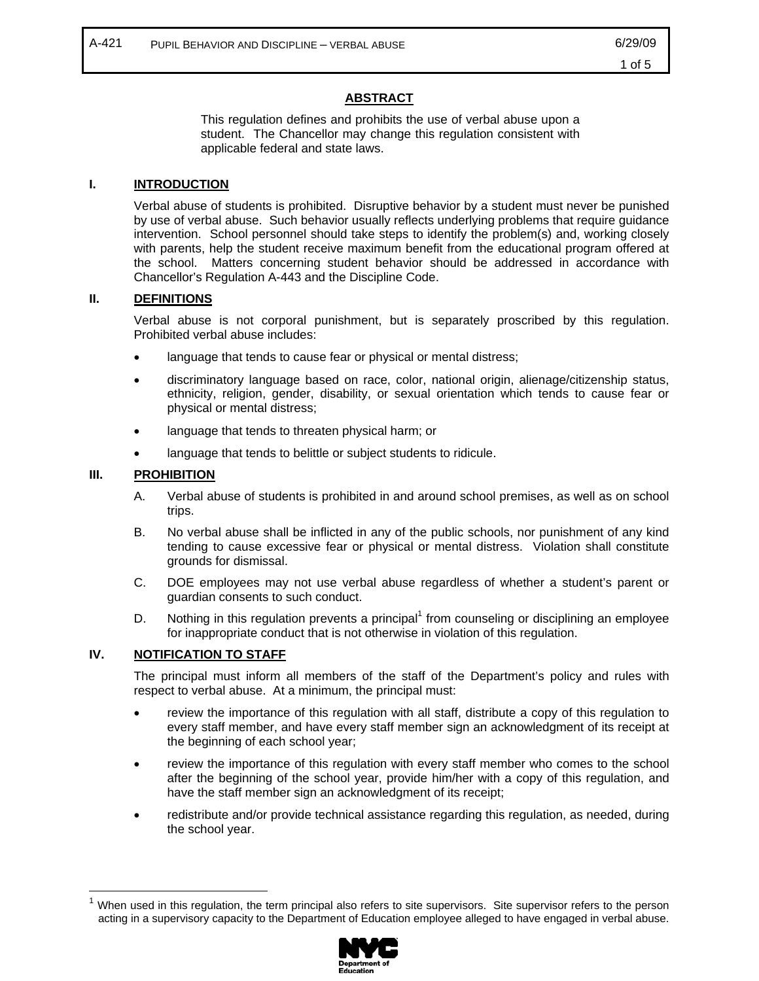## **ABSTRACT**

This regulation defines and prohibits the use of verbal abuse upon a student. The Chancellor may change this regulation consistent with applicable federal and state laws.

#### **I. INTRODUCTION**

Verbal abuse of students is prohibited. Disruptive behavior by a student must never be punished by use of verbal abuse. Such behavior usually reflects underlying problems that require guidance intervention. School personnel should take steps to identify the problem(s) and, working closely with parents, help the student receive maximum benefit from the educational program offered at the school. Matters concerning student behavior should be addressed in accordance with Chancellor's Regulation A-443 and the Discipline Code.

#### **II. DEFINITIONS**

Verbal abuse is not corporal punishment, but is separately proscribed by this regulation. Prohibited verbal abuse includes:

- language that tends to cause fear or physical or mental distress;
- discriminatory language based on race, color, national origin, alienage/citizenship status, ethnicity, religion, gender, disability, or sexual orientation which tends to cause fear or physical or mental distress;
- language that tends to threaten physical harm; or
- language that tends to belittle or subject students to ridicule.

### **III. PROHIBITION**

 $\overline{a}$ 

- A. Verbal abuse of students is prohibited in and around school premises, as well as on school trips.
- B. No verbal abuse shall be inflicted in any of the public schools, nor punishment of any kind tending to cause excessive fear or physical or mental distress. Violation shall constitute grounds for dismissal.
- C. DOE employees may not use verbal abuse regardless of whether a student's parent or guardian consents to such conduct.
- D. Nothing in this regulation prevents a principal<sup>1</sup> from counseling or disciplining an employee for inappropriate conduct that is not otherwise in violation of this regulation.

# **IV. NOTIFICATION TO STAFF**

The principal must inform all members of the staff of the Department's policy and rules with respect to verbal abuse. At a minimum, the principal must:

- review the importance of this regulation with all staff, distribute a copy of this regulation to every staff member, and have every staff member sign an acknowledgment of its receipt at the beginning of each school year;
- review the importance of this regulation with every staff member who comes to the school after the beginning of the school year, provide him/her with a copy of this regulation, and have the staff member sign an acknowledgment of its receipt;
- redistribute and/or provide technical assistance regarding this regulation, as needed, during the school year.

When used in this regulation, the term principal also refers to site supervisors. Site supervisor refers to the person acting in a supervisory capacity to the Department of Education employee alleged to have engaged in verbal abuse.

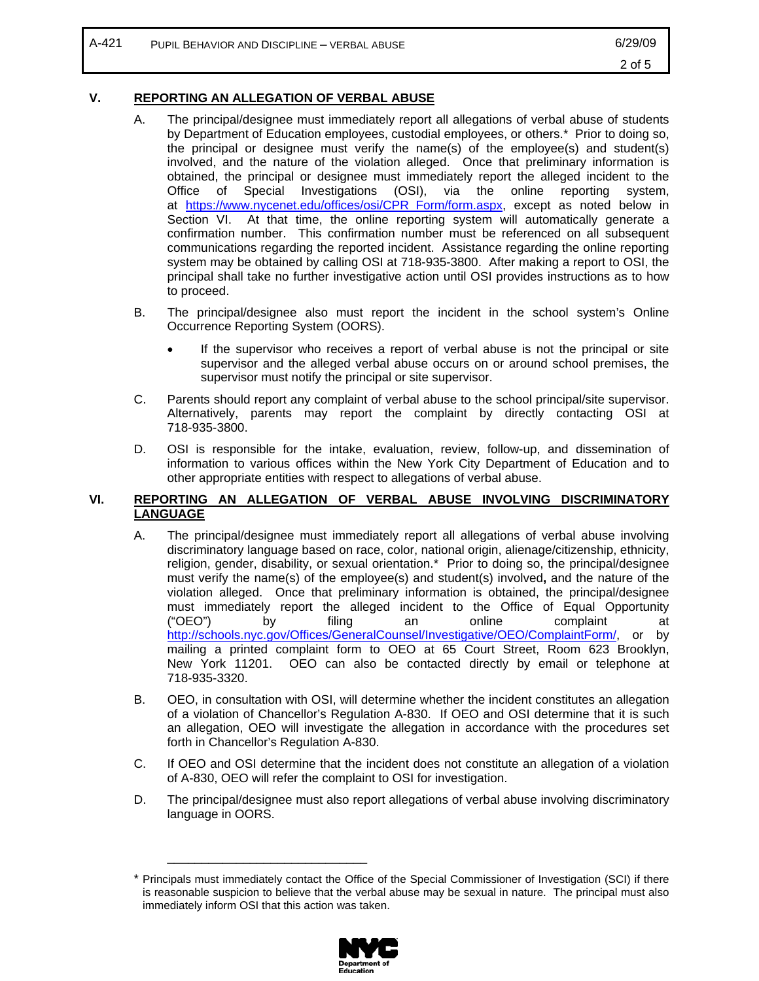### **V. REPORTING AN ALLEGATION OF VERBAL ABUSE**

- A. The principal/designee must immediately report all allegations of verbal abuse of students by Department of Education employees, custodial employees, or others.\* Prior to doing so, the principal or designee must verify the name(s) of the employee(s) and student(s) involved, and the nature of the violation alleged. Once that preliminary information is obtained, the principal or designee must immediately report the alleged incident to the Office of Special Investigations (OSI), via the online reporting system, at https://www.nycenet.edu/offices/osi/CPR\_Form/form.aspx, except as noted below in Section VI. At that time, the online reporting system will automatically generate a confirmation number. This confirmation number must be referenced on all subsequent communications regarding the reported incident. Assistance regarding the online reporting system may be obtained by calling OSI at 718-935-3800. After making a report to OSI, the principal shall take no further investigative action until OSI provides instructions as to how to proceed.
- B. The principal/designee also must report the incident in the school system's Online Occurrence Reporting System (OORS).
	- If the supervisor who receives a report of verbal abuse is not the principal or site supervisor and the alleged verbal abuse occurs on or around school premises, the supervisor must notify the principal or site supervisor.
- C. Parents should report any complaint of verbal abuse to the school principal/site supervisor. Alternatively, parents may report the complaint by directly contacting OSI at 718-935-3800.
- D. OSI is responsible for the intake, evaluation, review, follow-up, and dissemination of information to various offices within the New York City Department of Education and to other appropriate entities with respect to allegations of verbal abuse.

### **VI. REPORTING AN ALLEGATION OF VERBAL ABUSE INVOLVING DISCRIMINATORY LANGUAGE**

- A. The principal/designee must immediately report all allegations of verbal abuse involving discriminatory language based on race, color, national origin, alienage/citizenship, ethnicity, religion, gender, disability, or sexual orientation.\* Prior to doing so, the principal/designee must verify the name(s) of the employee(s) and student(s) involved**,** and the nature of the violation alleged. Once that preliminary information is obtained, the principal/designee must immediately report the alleged incident to the Office of Equal Opportunity ("OEO") by filing an online complaint at http://schools.nyc.gov/Offices/GeneralCounsel/Investigative/OEO/ComplaintForm/, or by mailing a printed complaint form to OEO at 65 Court Street, Room 623 Brooklyn, New York 11201. OEO can also be contacted directly by email or telephone at 718-935-3320.
- B. OEO, in consultation with OSI, will determine whether the incident constitutes an allegation of a violation of Chancellor's Regulation A-830. If OEO and OSI determine that it is such an allegation, OEO will investigate the allegation in accordance with the procedures set forth in Chancellor's Regulation A-830.
- C. If OEO and OSI determine that the incident does not constitute an allegation of a violation of A-830, OEO will refer the complaint to OSI for investigation.
- D. The principal/designee must also report allegations of verbal abuse involving discriminatory language in OORS.

<sup>\*</sup> Principals must immediately contact the Office of the Special Commissioner of Investigation (SCI) if there is reasonable suspicion to believe that the verbal abuse may be sexual in nature. The principal must also immediately inform OSI that this action was taken.



\_\_\_\_\_\_\_\_\_\_\_\_\_\_\_\_\_\_\_\_\_\_\_\_\_\_\_\_\_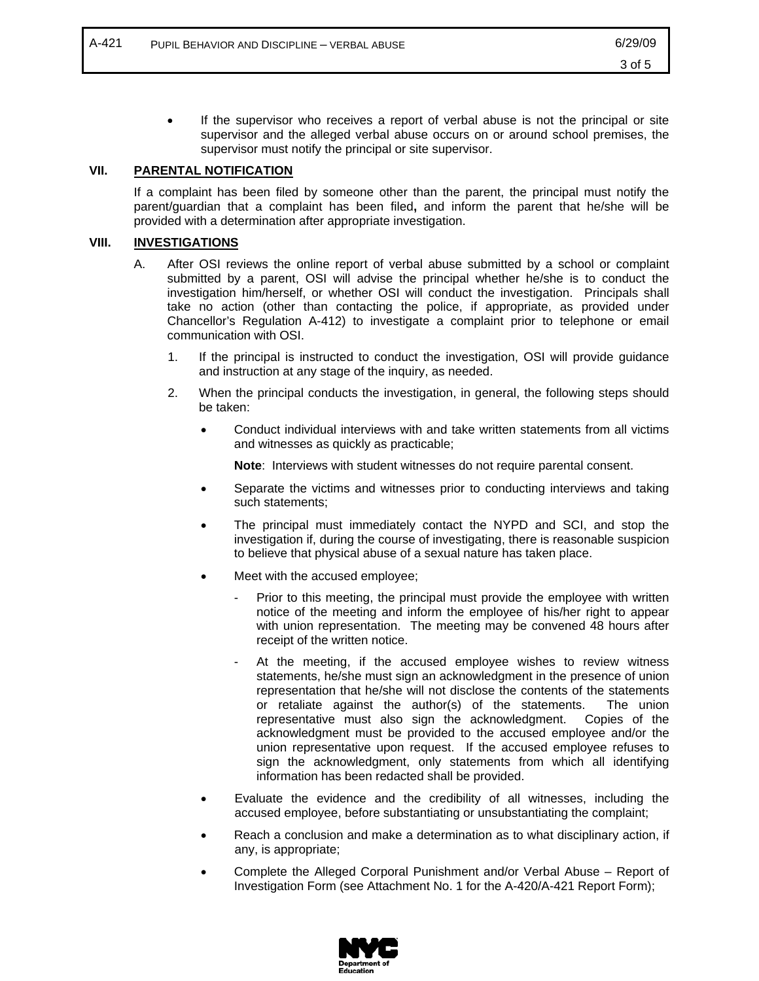If the supervisor who receives a report of verbal abuse is not the principal or site supervisor and the alleged verbal abuse occurs on or around school premises, the supervisor must notify the principal or site supervisor.

## **VII. PARENTAL NOTIFICATION**

If a complaint has been filed by someone other than the parent, the principal must notify the parent/guardian that a complaint has been filed**,** and inform the parent that he/she will be provided with a determination after appropriate investigation.

#### **VIII. INVESTIGATIONS**

- A. After OSI reviews the online report of verbal abuse submitted by a school or complaint submitted by a parent, OSI will advise the principal whether he/she is to conduct the investigation him/herself, or whether OSI will conduct the investigation. Principals shall take no action (other than contacting the police, if appropriate, as provided under Chancellor's Regulation A-412) to investigate a complaint prior to telephone or email communication with OSI.
	- 1. If the principal is instructed to conduct the investigation, OSI will provide guidance and instruction at any stage of the inquiry, as needed.
	- 2. When the principal conducts the investigation, in general, the following steps should be taken:
		- Conduct individual interviews with and take written statements from all victims and witnesses as quickly as practicable;

**Note:** Interviews with student witnesses do not require parental consent.

- Separate the victims and witnesses prior to conducting interviews and taking such statements;
- The principal must immediately contact the NYPD and SCI, and stop the investigation if, during the course of investigating, there is reasonable suspicion to believe that physical abuse of a sexual nature has taken place.
- Meet with the accused employee;
	- Prior to this meeting, the principal must provide the employee with written notice of the meeting and inform the employee of his/her right to appear with union representation. The meeting may be convened 48 hours after receipt of the written notice.
	- At the meeting, if the accused employee wishes to review witness statements, he/she must sign an acknowledgment in the presence of union representation that he/she will not disclose the contents of the statements or retaliate against the author(s) of the statements. The union representative must also sign the acknowledgment. Copies of the acknowledgment must be provided to the accused employee and/or the union representative upon request. If the accused employee refuses to sign the acknowledgment, only statements from which all identifying information has been redacted shall be provided.
- Evaluate the evidence and the credibility of all witnesses, including the accused employee, before substantiating or unsubstantiating the complaint;
- Reach a conclusion and make a determination as to what disciplinary action, if any, is appropriate;
- Complete the Alleged Corporal Punishment and/or Verbal Abuse Report of Investigation Form (see Attachment No. 1 for the A-420/A-421 Report Form);

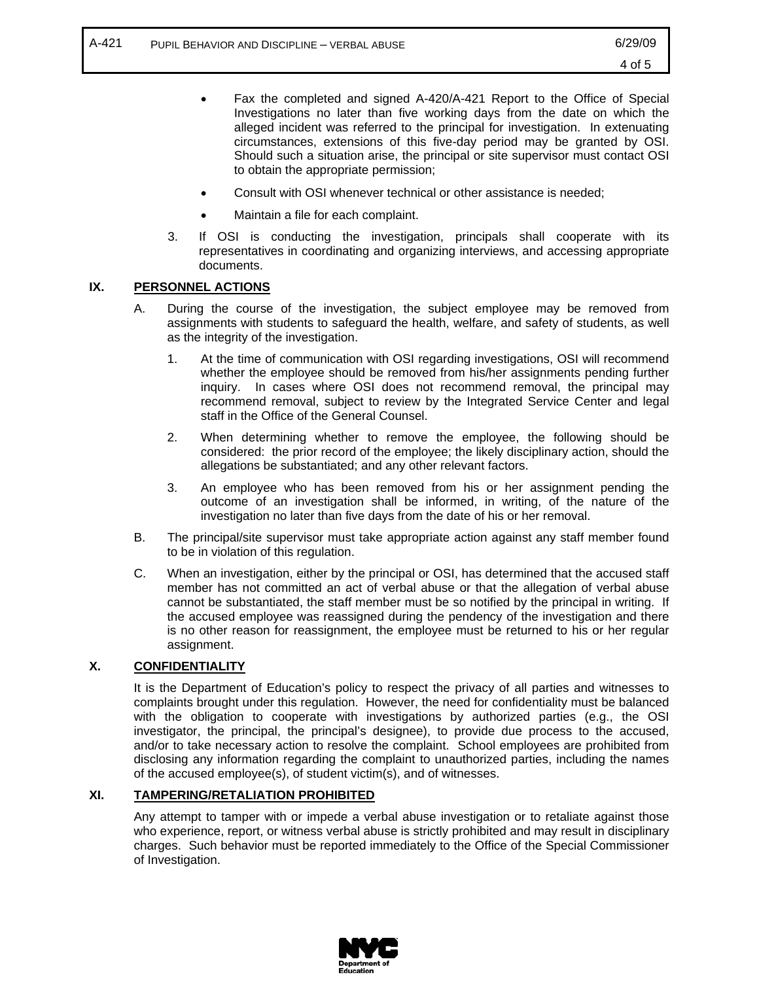- Fax the completed and signed A-420/A-421 Report to the Office of Special Investigations no later than five working days from the date on which the alleged incident was referred to the principal for investigation. In extenuating circumstances, extensions of this five-day period may be granted by OSI. Should such a situation arise, the principal or site supervisor must contact OSI to obtain the appropriate permission;
- Consult with OSI whenever technical or other assistance is needed;
- Maintain a file for each complaint.
- 3. If OSI is conducting the investigation, principals shall cooperate with its representatives in coordinating and organizing interviews, and accessing appropriate documents.

### **IX. PERSONNEL ACTIONS**

- A. During the course of the investigation, the subject employee may be removed from assignments with students to safeguard the health, welfare, and safety of students, as well as the integrity of the investigation.
	- 1. At the time of communication with OSI regarding investigations, OSI will recommend whether the employee should be removed from his/her assignments pending further inquiry. In cases where OSI does not recommend removal, the principal may recommend removal, subject to review by the Integrated Service Center and legal staff in the Office of the General Counsel.
	- 2. When determining whether to remove the employee, the following should be considered: the prior record of the employee; the likely disciplinary action, should the allegations be substantiated; and any other relevant factors.
	- 3. An employee who has been removed from his or her assignment pending the outcome of an investigation shall be informed, in writing, of the nature of the investigation no later than five days from the date of his or her removal.
- B. The principal/site supervisor must take appropriate action against any staff member found to be in violation of this regulation.
- C. When an investigation, either by the principal or OSI, has determined that the accused staff member has not committed an act of verbal abuse or that the allegation of verbal abuse cannot be substantiated, the staff member must be so notified by the principal in writing. If the accused employee was reassigned during the pendency of the investigation and there is no other reason for reassignment, the employee must be returned to his or her regular assignment.

#### **X. CONFIDENTIALITY**

It is the Department of Education's policy to respect the privacy of all parties and witnesses to complaints brought under this regulation. However, the need for confidentiality must be balanced with the obligation to cooperate with investigations by authorized parties (e.g., the OSI investigator, the principal, the principal's designee), to provide due process to the accused, and/or to take necessary action to resolve the complaint. School employees are prohibited from disclosing any information regarding the complaint to unauthorized parties, including the names of the accused employee(s), of student victim(s), and of witnesses.

#### **XI. TAMPERING/RETALIATION PROHIBITED**

Any attempt to tamper with or impede a verbal abuse investigation or to retaliate against those who experience, report, or witness verbal abuse is strictly prohibited and may result in disciplinary charges. Such behavior must be reported immediately to the Office of the Special Commissioner of Investigation.

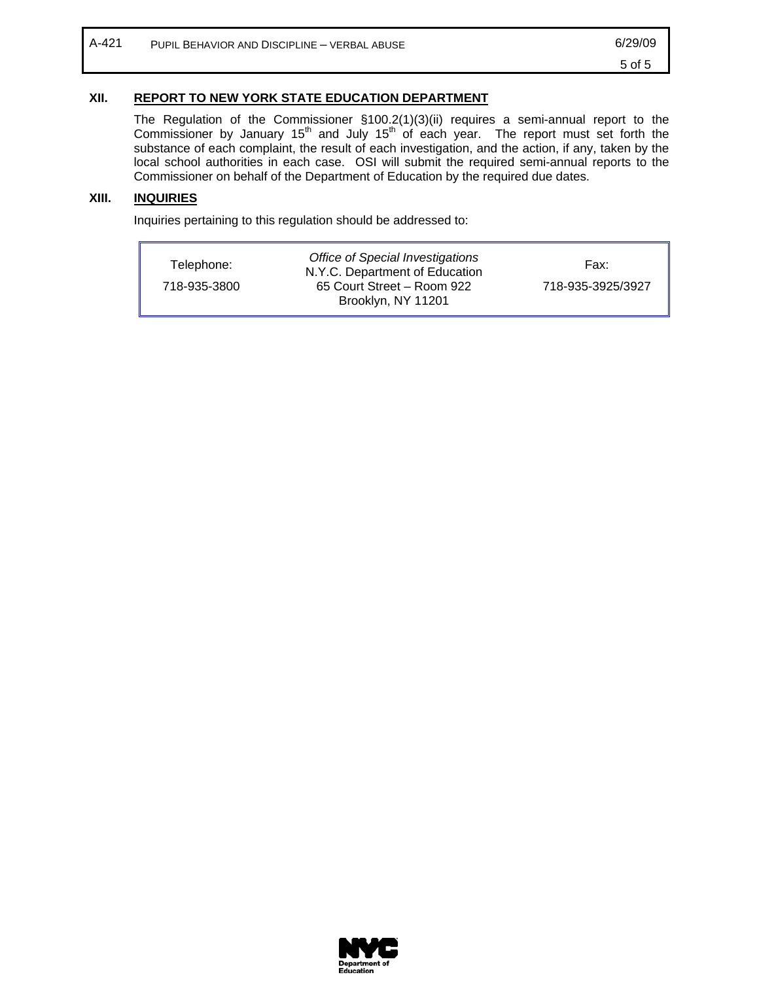# **XII. REPORT TO NEW YORK STATE EDUCATION DEPARTMENT**

The Regulation of the Commissioner §100.2(1)(3)(ii) requires a semi-annual report to the Commissioner by January 15<sup>th</sup> and July 15<sup>th</sup> of each year. The report must set forth the substance of each complaint, the result of each investigation, and the action, if any, taken by the local school authorities in each case. OSI will submit the required semi-annual reports to the Commissioner on behalf of the Department of Education by the required due dates.

# **XIII. INQUIRIES**

Inquiries pertaining to this regulation should be addressed to:

| Telephone:   | Office of Special Investigations<br>N.Y.C. Department of Education | Fax:              |
|--------------|--------------------------------------------------------------------|-------------------|
| 718-935-3800 | 65 Court Street - Room 922<br>Brooklyn, NY 11201                   | 718-935-3925/3927 |

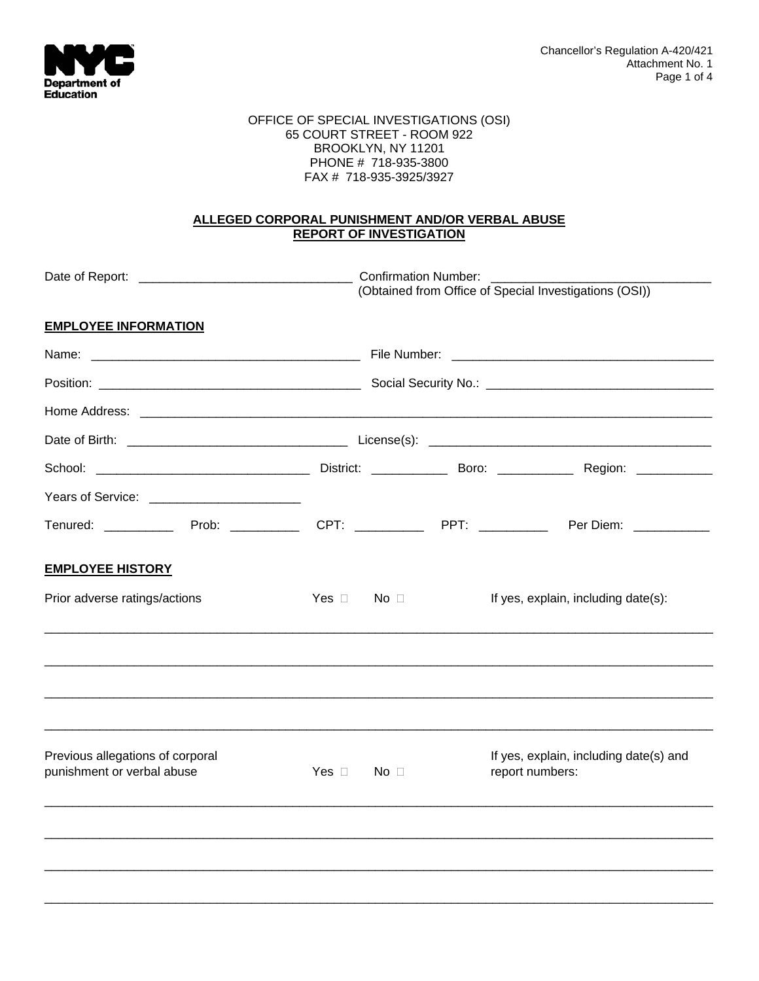

#### OFFICE OF SPECIAL INVESTIGATIONS (OSI) 65 COURT STREET - ROOM 922 BROOKLYN, NY 11201 PHONE # 718-935-3800 FAX # 718-935-3925/3927

# **ALLEGED CORPORAL PUNISHMENT AND/OR VERBAL ABUSE REPORT OF INVESTIGATION**

|                                                                                                           | <b>Confirmation Number:</b><br>(Obtained from Office of Special Investigations (OSI)) |                           |                                                           |                                     |  |
|-----------------------------------------------------------------------------------------------------------|---------------------------------------------------------------------------------------|---------------------------|-----------------------------------------------------------|-------------------------------------|--|
| <b>EMPLOYEE INFORMATION</b>                                                                               |                                                                                       |                           |                                                           |                                     |  |
|                                                                                                           |                                                                                       |                           |                                                           |                                     |  |
|                                                                                                           |                                                                                       |                           |                                                           |                                     |  |
|                                                                                                           |                                                                                       |                           |                                                           |                                     |  |
|                                                                                                           |                                                                                       |                           |                                                           |                                     |  |
|                                                                                                           |                                                                                       |                           |                                                           |                                     |  |
| Years of Service: ________________________                                                                |                                                                                       |                           |                                                           |                                     |  |
| Tenured: _______________Prob: _______________CPT: _____________PPT: ______________Per Diem: _____________ |                                                                                       |                           |                                                           |                                     |  |
| <b>EMPLOYEE HISTORY</b>                                                                                   |                                                                                       |                           |                                                           |                                     |  |
| Prior adverse ratings/actions                                                                             | Yes $\Box$ No $\Box$                                                                  |                           |                                                           | If yes, explain, including date(s): |  |
|                                                                                                           |                                                                                       |                           |                                                           |                                     |  |
| Previous allegations of corporal<br>punishment or verbal abuse                                            |                                                                                       | $Yes \Box \qquad No \Box$ | If yes, explain, including date(s) and<br>report numbers: |                                     |  |
|                                                                                                           |                                                                                       |                           |                                                           |                                     |  |
|                                                                                                           |                                                                                       |                           |                                                           |                                     |  |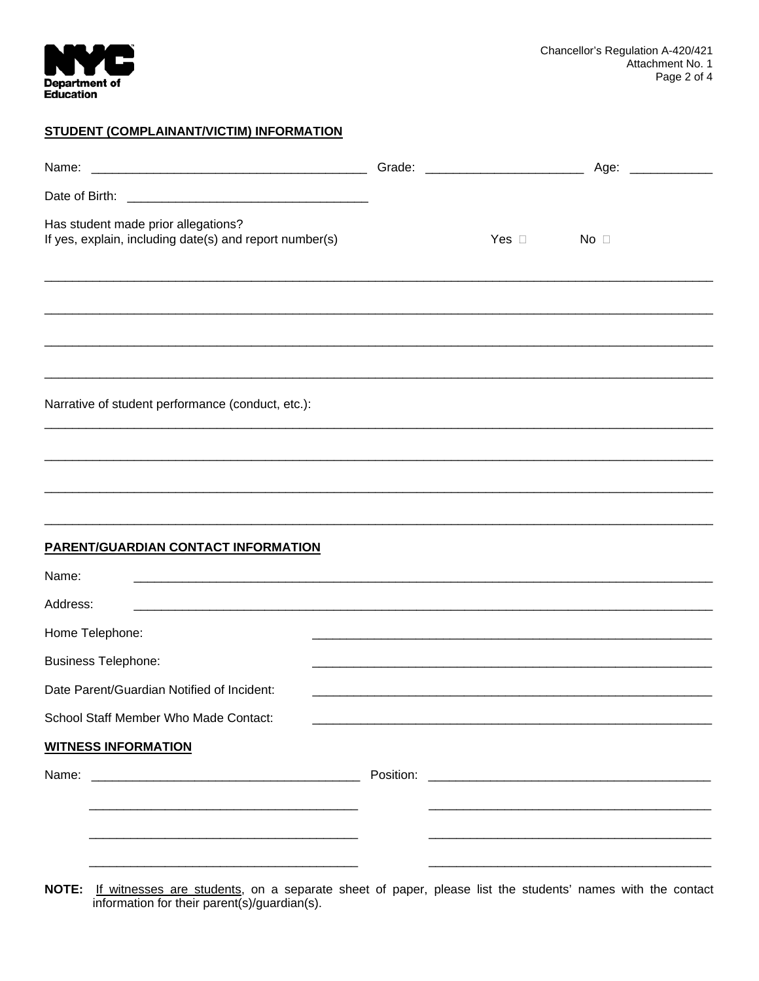

### STUDENT (COMPLAINANT/VICTIM) INFORMATION

| Name:                                                                                                                 |           |               | Age:<br><u> a shekara ta 1999 a shekara t</u> |
|-----------------------------------------------------------------------------------------------------------------------|-----------|---------------|-----------------------------------------------|
|                                                                                                                       |           |               |                                               |
| Has student made prior allegations?<br>If yes, explain, including date(s) and report number(s)                        |           | Yes $\square$ | $No$ $\Box$                                   |
|                                                                                                                       |           |               |                                               |
|                                                                                                                       |           |               |                                               |
|                                                                                                                       |           |               |                                               |
| Narrative of student performance (conduct, etc.):                                                                     |           |               |                                               |
|                                                                                                                       |           |               |                                               |
|                                                                                                                       |           |               |                                               |
|                                                                                                                       |           |               |                                               |
| <b>PARENT/GUARDIAN CONTACT INFORMATION</b>                                                                            |           |               |                                               |
| Name:                                                                                                                 |           |               |                                               |
| Address:                                                                                                              |           |               |                                               |
| Home Telephone:                                                                                                       |           |               |                                               |
| <b>Business Telephone:</b>                                                                                            |           |               |                                               |
| Date Parent/Guardian Notified of Incident:                                                                            |           |               |                                               |
| School Staff Member Who Made Contact:                                                                                 |           |               |                                               |
| <b>WITNESS INFORMATION</b>                                                                                            |           |               |                                               |
| Name:                                                                                                                 | Position: |               |                                               |
| <u> 1980 - Johann Barbara, martxa alemaniar amerikan basar da da a shekara a shekara a shekara a shekara a shekar</u> |           |               |                                               |
|                                                                                                                       |           |               |                                               |
|                                                                                                                       |           |               |                                               |

NOTE: If witnesses are students, on a separate sheet of paper, please list the students' names with the contact information for their parent(s)/guardian(s).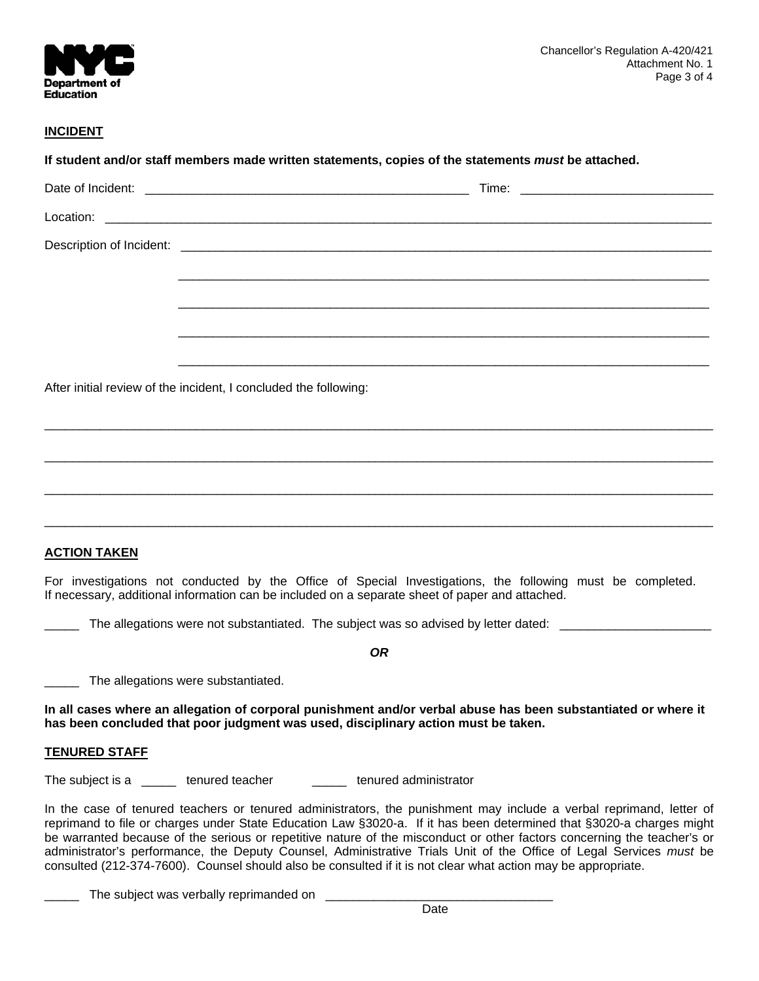

# **INCIDENT**

|                                         | <u> 1989 - Johann Stoff, deutscher Stoff, der Stoff, der Stoff, der Stoff, der Stoff, der Stoff, der Stoff, der S</u>                                                                                                                                                                                                                                                                                                                                                                                                                                                                                          |
|-----------------------------------------|----------------------------------------------------------------------------------------------------------------------------------------------------------------------------------------------------------------------------------------------------------------------------------------------------------------------------------------------------------------------------------------------------------------------------------------------------------------------------------------------------------------------------------------------------------------------------------------------------------------|
|                                         |                                                                                                                                                                                                                                                                                                                                                                                                                                                                                                                                                                                                                |
|                                         |                                                                                                                                                                                                                                                                                                                                                                                                                                                                                                                                                                                                                |
|                                         | After initial review of the incident, I concluded the following:                                                                                                                                                                                                                                                                                                                                                                                                                                                                                                                                               |
|                                         |                                                                                                                                                                                                                                                                                                                                                                                                                                                                                                                                                                                                                |
|                                         |                                                                                                                                                                                                                                                                                                                                                                                                                                                                                                                                                                                                                |
|                                         |                                                                                                                                                                                                                                                                                                                                                                                                                                                                                                                                                                                                                |
|                                         |                                                                                                                                                                                                                                                                                                                                                                                                                                                                                                                                                                                                                |
|                                         |                                                                                                                                                                                                                                                                                                                                                                                                                                                                                                                                                                                                                |
| <b>ACTION TAKEN</b>                     |                                                                                                                                                                                                                                                                                                                                                                                                                                                                                                                                                                                                                |
|                                         | For investigations not conducted by the Office of Special Investigations, the following must be completed.<br>If necessary, additional information can be included on a separate sheet of paper and attached.                                                                                                                                                                                                                                                                                                                                                                                                  |
|                                         | The allegations were not substantiated. The subject was so advised by letter dated: _________________________                                                                                                                                                                                                                                                                                                                                                                                                                                                                                                  |
|                                         | <b>OR</b>                                                                                                                                                                                                                                                                                                                                                                                                                                                                                                                                                                                                      |
|                                         | The allegations were substantiated.                                                                                                                                                                                                                                                                                                                                                                                                                                                                                                                                                                            |
|                                         | In all cases where an allegation of corporal punishment and/or verbal abuse has been substantiated or where it<br>has been concluded that poor judgment was used, disciplinary action must be taken.                                                                                                                                                                                                                                                                                                                                                                                                           |
| <b>TENURED STAFF</b>                    |                                                                                                                                                                                                                                                                                                                                                                                                                                                                                                                                                                                                                |
| The subject is a ______ tenured teacher | tenured administrator                                                                                                                                                                                                                                                                                                                                                                                                                                                                                                                                                                                          |
|                                         | In the case of tenured teachers or tenured administrators, the punishment may include a verbal reprimand, letter of<br>reprimand to file or charges under State Education Law §3020-a. If it has been determined that §3020-a charges might<br>be warranted because of the serious or repetitive nature of the misconduct or other factors concerning the teacher's or<br>administrator's performance, the Deputy Counsel, Administrative Trials Unit of the Office of Legal Services must be<br>consulted (212-374-7600). Counsel should also be consulted if it is not clear what action may be appropriate. |
|                                         | The subject was verbally reprimanded on                                                                                                                                                                                                                                                                                                                                                                                                                                                                                                                                                                        |
|                                         | Date                                                                                                                                                                                                                                                                                                                                                                                                                                                                                                                                                                                                           |

**Date Date Date Date Date**